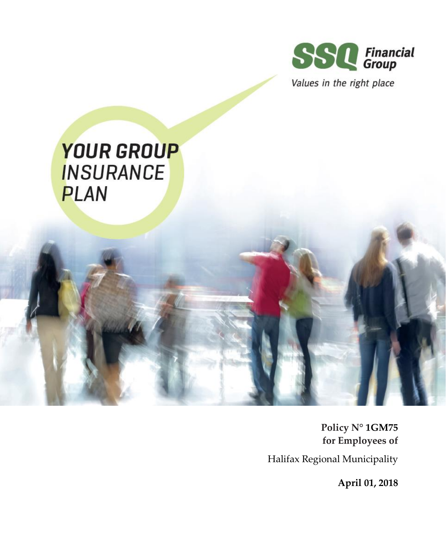

Values in the right place

# **YOUR GROUP INSURANCE PLAN**

**Policy N° 1GM75 for Employees of** Halifax Regional Municipality

**April 01, 2018**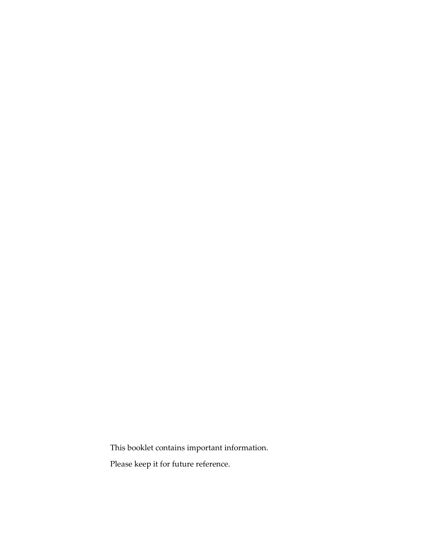This booklet contains important information.

Please keep it for future reference.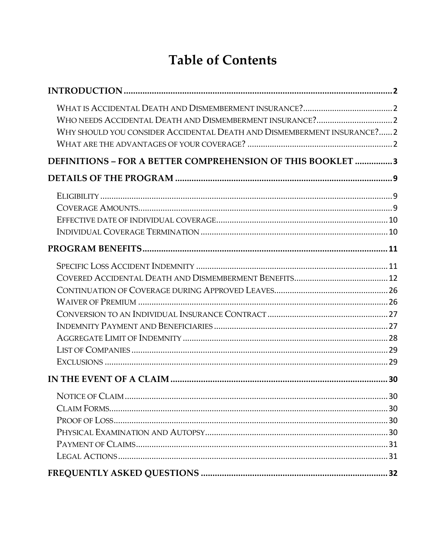# **Table of Contents**

| WHY SHOULD YOU CONSIDER ACCIDENTAL DEATH AND DISMEMBERMENT INSURANCE? 2 |  |
|-------------------------------------------------------------------------|--|
| DEFINITIONS - FOR A BETTER COMPREHENSION OF THIS BOOKLET 3              |  |
|                                                                         |  |
|                                                                         |  |
|                                                                         |  |
|                                                                         |  |
|                                                                         |  |
|                                                                         |  |
|                                                                         |  |
|                                                                         |  |
|                                                                         |  |
|                                                                         |  |
|                                                                         |  |
|                                                                         |  |
|                                                                         |  |
|                                                                         |  |
|                                                                         |  |
|                                                                         |  |
|                                                                         |  |
|                                                                         |  |
|                                                                         |  |
|                                                                         |  |
|                                                                         |  |
|                                                                         |  |
|                                                                         |  |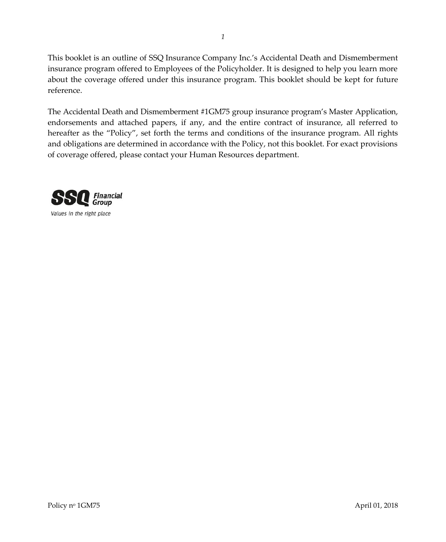This booklet is an outline of SSQ Insurance Company Inc.'s Accidental Death and Dismemberment insurance program offered to Employees of the Policyholder. It is designed to help you learn more about the coverage offered under this insurance program. This booklet should be kept for future reference.

The Accidental Death and Dismemberment #1GM75 group insurance program's Master Application, endorsements and attached papers, if any, and the entire contract of insurance, all referred to hereafter as the "Policy", set forth the terms and conditions of the insurance program. All rights and obligations are determined in accordance with the Policy, not this booklet. For exact provisions of coverage offered, please contact your Human Resources department.

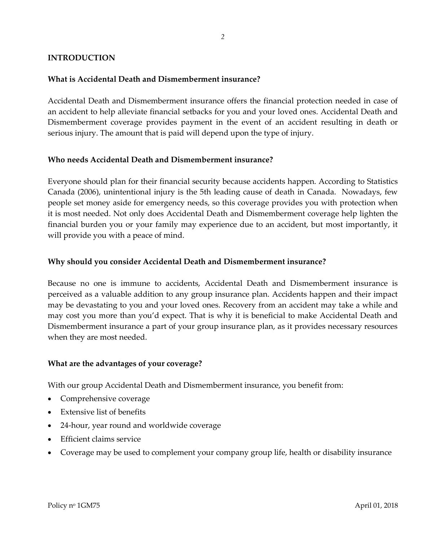# <span id="page-4-1"></span><span id="page-4-0"></span>**INTRODUCTION**

# **What is Accidental Death and Dismemberment insurance?**

Accidental Death and Dismemberment insurance offers the financial protection needed in case of an accident to help alleviate financial setbacks for you and your loved ones. Accidental Death and Dismemberment coverage provides payment in the event of an accident resulting in death or serious injury. The amount that is paid will depend upon the type of injury.

#### <span id="page-4-2"></span>**Who needs Accidental Death and Dismemberment insurance?**

Everyone should plan for their financial security because accidents happen. According to Statistics Canada (2006), unintentional injury is the 5th leading cause of death in Canada. Nowadays, few people set money aside for emergency needs, so this coverage provides you with protection when it is most needed. Not only does Accidental Death and Dismemberment coverage help lighten the financial burden you or your family may experience due to an accident, but most importantly, it will provide you with a peace of mind.

# <span id="page-4-3"></span>**Why should you consider Accidental Death and Dismemberment insurance?**

Because no one is immune to accidents, Accidental Death and Dismemberment insurance is perceived as a valuable addition to any group insurance plan. Accidents happen and their impact may be devastating to you and your loved ones. Recovery from an accident may take a while and may cost you more than you'd expect. That is why it is beneficial to make Accidental Death and Dismemberment insurance a part of your group insurance plan, as it provides necessary resources when they are most needed.

#### <span id="page-4-4"></span>**What are the advantages of your coverage?**

With our group Accidental Death and Dismemberment insurance, you benefit from:

- Comprehensive coverage
- Extensive list of benefits
- 24-hour, year round and worldwide coverage
- Efficient claims service
- Coverage may be used to complement your company group life, health or disability insurance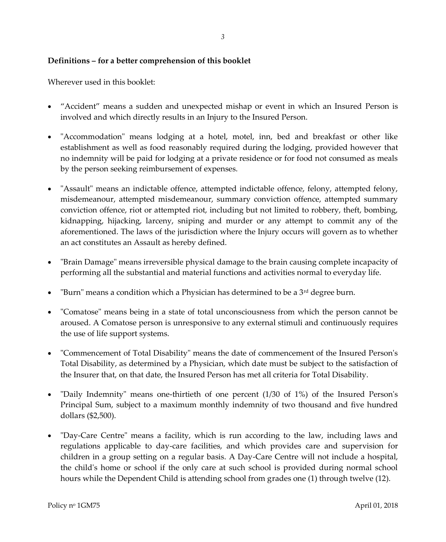#### <span id="page-5-0"></span>**Definitions – for a better comprehension of this booklet**

Wherever used in this booklet:

- "Accident" means a sudden and unexpected mishap or event in which an Insured Person is involved and which directly results in an Injury to the Insured Person.
- "Accommodation" means lodging at a hotel, motel, inn, bed and breakfast or other like establishment as well as food reasonably required during the lodging, provided however that no indemnity will be paid for lodging at a private residence or for food not consumed as meals by the person seeking reimbursement of expenses.
- "Assault" means an indictable offence, attempted indictable offence, felony, attempted felony, misdemeanour, attempted misdemeanour, summary conviction offence, attempted summary conviction offence, riot or attempted riot, including but not limited to robbery, theft, bombing, kidnapping, hijacking, larceny, sniping and murder or any attempt to commit any of the aforementioned. The laws of the jurisdiction where the Injury occurs will govern as to whether an act constitutes an Assault as hereby defined.
- "Brain Damage" means irreversible physical damage to the brain causing complete incapacity of performing all the substantial and material functions and activities normal to everyday life.
- **•** "Burn" means a condition which a Physician has determined to be a  $3<sup>rd</sup>$  degree burn.
- "Comatose" means being in a state of total unconsciousness from which the person cannot be aroused. A Comatose person is unresponsive to any external stimuli and continuously requires the use of life support systems.
- "Commencement of Total Disability" means the date of commencement of the Insured Person's Total Disability, as determined by a Physician, which date must be subject to the satisfaction of the Insurer that, on that date, the Insured Person has met all criteria for Total Disability.
- "Daily Indemnity" means one-thirtieth of one percent (1/30 of 1%) of the Insured Person's Principal Sum, subject to a maximum monthly indemnity of two thousand and five hundred dollars (\$2,500).
- "Day-Care Centre" means a facility, which is run according to the law, including laws and regulations applicable to day-care facilities, and which provides care and supervision for children in a group setting on a regular basis. A Day-Care Centre will not include a hospital, the child's home or school if the only care at such school is provided during normal school hours while the Dependent Child is attending school from grades one (1) through twelve (12).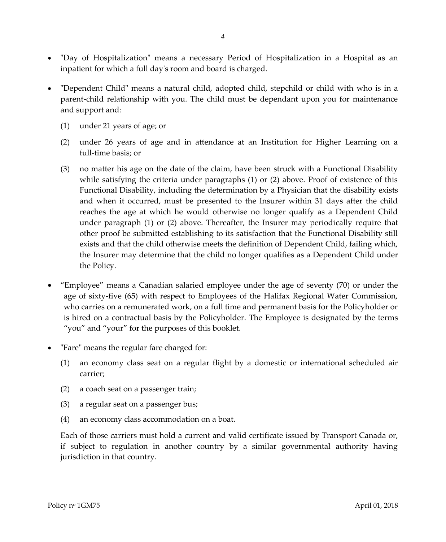- "Day of Hospitalization" means a necessary Period of Hospitalization in a Hospital as an inpatient for which a full day's room and board is charged.
- "Dependent Child" means a natural child, adopted child, stepchild or child with who is in a parent-child relationship with you. The child must be dependant upon you for maintenance and support and:
	- (1) under 21 years of age; or
	- (2) under 26 years of age and in attendance at an Institution for Higher Learning on a full-time basis; or
	- (3) no matter his age on the date of the claim, have been struck with a Functional Disability while satisfying the criteria under paragraphs (1) or (2) above. Proof of existence of this Functional Disability, including the determination by a Physician that the disability exists and when it occurred, must be presented to the Insurer within 31 days after the child reaches the age at which he would otherwise no longer qualify as a Dependent Child under paragraph (1) or (2) above. Thereafter, the Insurer may periodically require that other proof be submitted establishing to its satisfaction that the Functional Disability still exists and that the child otherwise meets the definition of Dependent Child, failing which, the Insurer may determine that the child no longer qualifies as a Dependent Child under the Policy.
- "Employee" means a Canadian salaried employee under the age of seventy (70) or under the age of sixty-five (65) with respect to Employees of the Halifax Regional Water Commission, who carries on a remunerated work, on a full time and permanent basis for the Policyholder or is hired on a contractual basis by the Policyholder. The Employee is designated by the terms "you" and "your" for the purposes of this booklet.
- "Fare" means the regular fare charged for:
	- (1) an economy class seat on a regular flight by a domestic or international scheduled air carrier;
	- (2) a coach seat on a passenger train;
	- (3) a regular seat on a passenger bus;
	- (4) an economy class accommodation on a boat.

Each of those carriers must hold a current and valid certificate issued by Transport Canada or, if subject to regulation in another country by a similar governmental authority having jurisdiction in that country.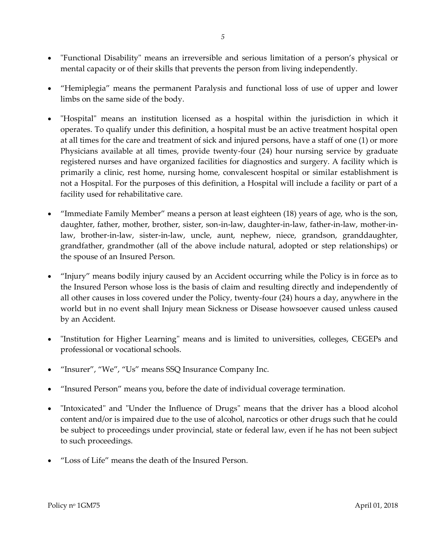- "Functional Disability" means an irreversible and serious limitation of a person's physical or mental capacity or of their skills that prevents the person from living independently.
- "Hemiplegia" means the permanent Paralysis and functional loss of use of upper and lower limbs on the same side of the body.
- "Hospital" means an institution licensed as a hospital within the jurisdiction in which it operates. To qualify under this definition, a hospital must be an active treatment hospital open at all times for the care and treatment of sick and injured persons, have a staff of one (1) or more Physicians available at all times, provide twenty-four (24) hour nursing service by graduate registered nurses and have organized facilities for diagnostics and surgery. A facility which is primarily a clinic, rest home, nursing home, convalescent hospital or similar establishment is not a Hospital. For the purposes of this definition, a Hospital will include a facility or part of a facility used for rehabilitative care.
- "Immediate Family Member" means a person at least eighteen (18) years of age, who is the son, daughter, father, mother, brother, sister, son-in-law, daughter-in-law, father-in-law, mother-inlaw, brother-in-law, sister-in-law, uncle, aunt, nephew, niece, grandson, granddaughter, grandfather, grandmother (all of the above include natural, adopted or step relationships) or the spouse of an Insured Person.
- "Injury" means bodily injury caused by an Accident occurring while the Policy is in force as to the Insured Person whose loss is the basis of claim and resulting directly and independently of all other causes in loss covered under the Policy, twenty-four (24) hours a day, anywhere in the world but in no event shall Injury mean Sickness or Disease howsoever caused unless caused by an Accident.
- "Institution for Higher Learning" means and is limited to universities, colleges, CEGEPs and professional or vocational schools.
- "Insurer", "We", "Us" means SSQ Insurance Company Inc.
- "Insured Person" means you, before the date of individual coverage termination.
- "Intoxicated" and "Under the Influence of Drugs" means that the driver has a blood alcohol content and/or is impaired due to the use of alcohol, narcotics or other drugs such that he could be subject to proceedings under provincial, state or federal law, even if he has not been subject to such proceedings.
- "Loss of Life" means the death of the Insured Person.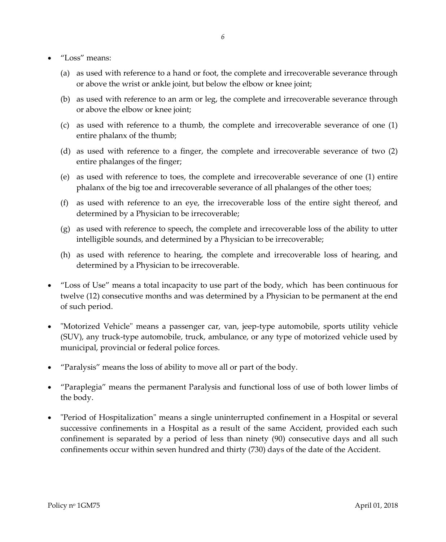- "Loss" means:
	- (a) as used with reference to a hand or foot, the complete and irrecoverable severance through or above the wrist or ankle joint, but below the elbow or knee joint;
	- (b) as used with reference to an arm or leg, the complete and irrecoverable severance through or above the elbow or knee joint;
	- (c) as used with reference to a thumb, the complete and irrecoverable severance of one (1) entire phalanx of the thumb;
	- (d) as used with reference to a finger, the complete and irrecoverable severance of two (2) entire phalanges of the finger;
	- (e) as used with reference to toes, the complete and irrecoverable severance of one (1) entire phalanx of the big toe and irrecoverable severance of all phalanges of the other toes;
	- (f) as used with reference to an eye, the irrecoverable loss of the entire sight thereof, and determined by a Physician to be irrecoverable;
	- (g) as used with reference to speech, the complete and irrecoverable loss of the ability to utter intelligible sounds, and determined by a Physician to be irrecoverable;
	- (h) as used with reference to hearing, the complete and irrecoverable loss of hearing, and determined by a Physician to be irrecoverable.
- "Loss of Use" means a total incapacity to use part of the body, which has been continuous for twelve (12) consecutive months and was determined by a Physician to be permanent at the end of such period.
- "Motorized Vehicle" means a passenger car, van, jeep-type automobile, sports utility vehicle (SUV), any truck-type automobile, truck, ambulance, or any type of motorized vehicle used by municipal, provincial or federal police forces.
- "Paralysis" means the loss of ability to move all or part of the body.
- "Paraplegia" means the permanent Paralysis and functional loss of use of both lower limbs of the body.
- "Period of Hospitalization" means a single uninterrupted confinement in a Hospital or several successive confinements in a Hospital as a result of the same Accident, provided each such confinement is separated by a period of less than ninety (90) consecutive days and all such confinements occur within seven hundred and thirty (730) days of the date of the Accident.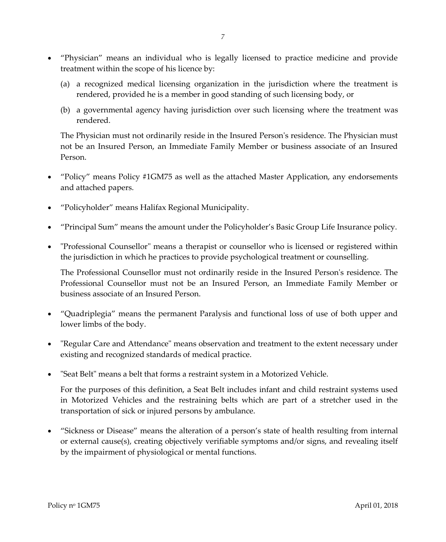- "Physician" means an individual who is legally licensed to practice medicine and provide treatment within the scope of his licence by:
	- (a) a recognized medical licensing organization in the jurisdiction where the treatment is rendered, provided he is a member in good standing of such licensing body, or
	- (b) a governmental agency having jurisdiction over such licensing where the treatment was rendered.

The Physician must not ordinarily reside in the Insured Person's residence. The Physician must not be an Insured Person, an Immediate Family Member or business associate of an Insured Person.

- "Policy" means Policy #1GM75 as well as the attached Master Application, any endorsements and attached papers.
- "Policyholder" means Halifax Regional Municipality.
- "Principal Sum" means the amount under the Policyholder's Basic Group Life Insurance policy.
- "Professional Counsellor" means a therapist or counsellor who is licensed or registered within the jurisdiction in which he practices to provide psychological treatment or counselling.

The Professional Counsellor must not ordinarily reside in the Insured Person's residence. The Professional Counsellor must not be an Insured Person, an Immediate Family Member or business associate of an Insured Person.

- "Quadriplegia" means the permanent Paralysis and functional loss of use of both upper and lower limbs of the body.
- "Regular Care and Attendance" means observation and treatment to the extent necessary under existing and recognized standards of medical practice.
- "Seat Belt" means a belt that forms a restraint system in a Motorized Vehicle.

For the purposes of this definition, a Seat Belt includes infant and child restraint systems used in Motorized Vehicles and the restraining belts which are part of a stretcher used in the transportation of sick or injured persons by ambulance.

 "Sickness or Disease" means the alteration of a person's state of health resulting from internal or external cause(s), creating objectively verifiable symptoms and/or signs, and revealing itself by the impairment of physiological or mental functions.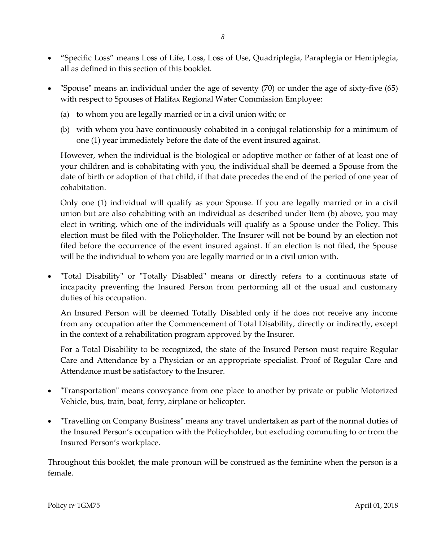- "Specific Loss" means Loss of Life, Loss, Loss of Use, Quadriplegia, Paraplegia or Hemiplegia, all as defined in this section of this booklet.
- "Spouse" means an individual under the age of seventy (70) or under the age of sixty-five (65) with respect to Spouses of Halifax Regional Water Commission Employee:
	- (a) to whom you are legally married or in a civil union with; or
	- (b) with whom you have continuously cohabited in a conjugal relationship for a minimum of one (1) year immediately before the date of the event insured against.

However, when the individual is the biological or adoptive mother or father of at least one of your children and is cohabitating with you, the individual shall be deemed a Spouse from the date of birth or adoption of that child, if that date precedes the end of the period of one year of cohabitation.

Only one (1) individual will qualify as your Spouse. If you are legally married or in a civil union but are also cohabiting with an individual as described under Item (b) above, you may elect in writing, which one of the individuals will qualify as a Spouse under the Policy. This election must be filed with the Policyholder. The Insurer will not be bound by an election not filed before the occurrence of the event insured against. If an election is not filed, the Spouse will be the individual to whom you are legally married or in a civil union with.

 "Total Disability" or "Totally Disabled" means or directly refers to a continuous state of incapacity preventing the Insured Person from performing all of the usual and customary duties of his occupation.

An Insured Person will be deemed Totally Disabled only if he does not receive any income from any occupation after the Commencement of Total Disability, directly or indirectly, except in the context of a rehabilitation program approved by the Insurer.

For a Total Disability to be recognized, the state of the Insured Person must require Regular Care and Attendance by a Physician or an appropriate specialist. Proof of Regular Care and Attendance must be satisfactory to the Insurer.

- "Transportation" means conveyance from one place to another by private or public Motorized Vehicle, bus, train, boat, ferry, airplane or helicopter.
- "Travelling on Company Business" means any travel undertaken as part of the normal duties of the Insured Person's occupation with the Policyholder, but excluding commuting to or from the Insured Person's workplace.

Throughout this booklet, the male pronoun will be construed as the feminine when the person is a female.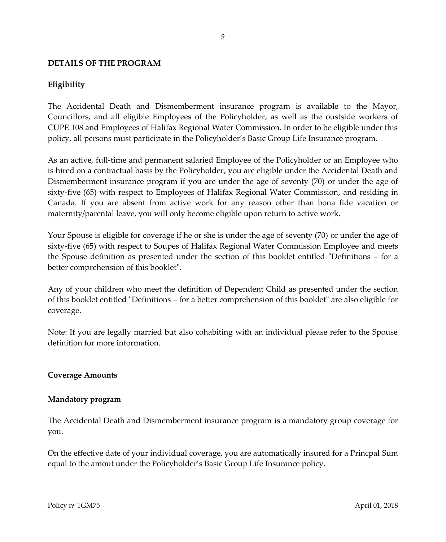# <span id="page-11-1"></span><span id="page-11-0"></span>**DETAILS OF THE PROGRAM**

# **Eligibility**

The Accidental Death and Dismemberment insurance program is available to the Mayor, Councillors, and all eligible Employees of the Policyholder, as well as the oustside workers of CUPE 108 and Employees of Halifax Regional Water Commission. In order to be eligible under this policy, all persons must participate in the Policyholder's Basic Group Life Insurance program.

As an active, full-time and permanent salaried Employee of the Policyholder or an Employee who is hired on a contractual basis by the Policyholder, you are eligible under the Accidental Death and Dismemberment insurance program if you are under the age of seventy (70) or under the age of sixty-five (65) with respect to Employees of Halifax Regional Water Commission, and residing in Canada. If you are absent from active work for any reason other than bona fide vacation or maternity/parental leave, you will only become eligible upon return to active work.

Your Spouse is eligible for coverage if he or she is under the age of seventy (70) or under the age of sixty-five (65) with respect to Soupes of Halifax Regional Water Commission Employee and meets the Spouse definition as presented under the section of this booklet entitled "Definitions – for a better comprehension of this booklet".

Any of your children who meet the definition of Dependent Child as presented under the section of this booklet entitled "Definitions – for a better comprehension of this booklet" are also eligible for coverage.

Note: If you are legally married but also cohabiting with an individual please refer to the Spouse definition for more information.

#### <span id="page-11-2"></span>**Coverage Amounts**

#### **Mandatory program**

The Accidental Death and Dismemberment insurance program is a mandatory group coverage for you.

On the effective date of your individual coverage, you are automatically insured for a Princpal Sum equal to the amout under the Policyholder's Basic Group Life Insurance policy.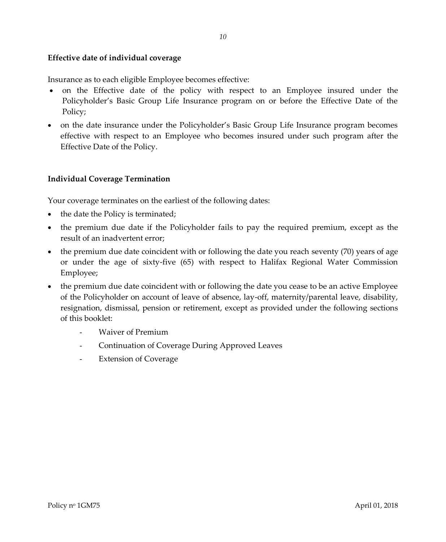# <span id="page-12-0"></span>**Effective date of individual coverage**

Insurance as to each eligible Employee becomes effective:

- on the Effective date of the policy with respect to an Employee insured under the Policyholder's Basic Group Life Insurance program on or before the Effective Date of the Policy;
- on the date insurance under the Policyholder's Basic Group Life Insurance program becomes effective with respect to an Employee who becomes insured under such program after the Effective Date of the Policy.

# <span id="page-12-1"></span>**Individual Coverage Termination**

Your coverage terminates on the earliest of the following dates:

- the date the Policy is terminated;
- the premium due date if the Policyholder fails to pay the required premium, except as the result of an inadvertent error;
- $\bullet$  the premium due date coincident with or following the date you reach seventy (70) years of age or under the age of sixty-five (65) with respect to Halifax Regional Water Commission Employee;
- the premium due date coincident with or following the date you cease to be an active Employee of the Policyholder on account of leave of absence, lay-off, maternity/parental leave, disability, resignation, dismissal, pension or retirement, except as provided under the following sections of this booklet:
	- Waiver of Premium
	- Continuation of Coverage During Approved Leaves
	- Extension of Coverage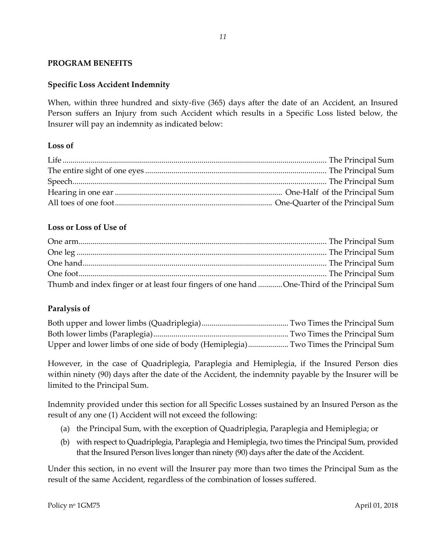# <span id="page-13-1"></span><span id="page-13-0"></span>**PROGRAM BENEFITS**

# **Specific Loss Accident Indemnity**

When, within three hundred and sixty-five (365) days after the date of an Accident, an Insured Person suffers an Injury from such Accident which results in a Specific Loss listed below, the Insurer will pay an indemnity as indicated below:

*11*

# **Loss of**

# **Loss or Loss of Use of**

| Thumb and index finger or at least four fingers of one hand One-Third of the Principal Sum |  |
|--------------------------------------------------------------------------------------------|--|

# **Paralysis of**

| Upper and lower limbs of one side of body (Hemiplegia) Two Times the Principal Sum |  |
|------------------------------------------------------------------------------------|--|

However, in the case of Quadriplegia, Paraplegia and Hemiplegia, if the Insured Person dies within ninety (90) days after the date of the Accident, the indemnity payable by the Insurer will be limited to the Principal Sum.

Indemnity provided under this section for all Specific Losses sustained by an Insured Person as the result of any one (1) Accident will not exceed the following:

- (a) the Principal Sum, with the exception of Quadriplegia, Paraplegia and Hemiplegia; or
- (b) with respect to Quadriplegia, Paraplegia and Hemiplegia, two times the Principal Sum, provided that the Insured Person lives longer than ninety (90) days after the date of the Accident.

Under this section, in no event will the Insurer pay more than two times the Principal Sum as the result of the same Accident, regardless of the combination of losses suffered.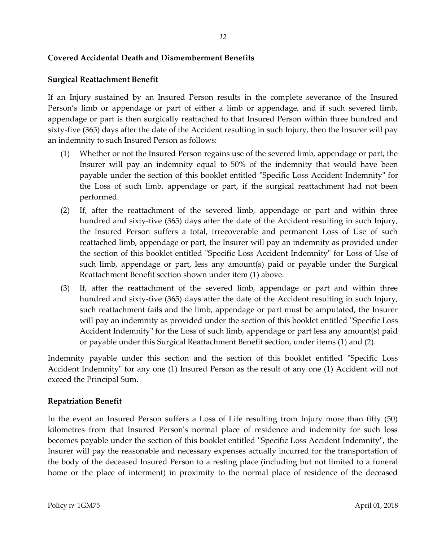# <span id="page-14-0"></span>**Covered Accidental Death and Dismemberment Benefits**

# **Surgical Reattachment Benefit**

If an Injury sustained by an Insured Person results in the complete severance of the Insured Person's limb or appendage or part of either a limb or appendage, and if such severed limb, appendage or part is then surgically reattached to that Insured Person within three hundred and sixty-five (365) days after the date of the Accident resulting in such Injury, then the Insurer will pay an indemnity to such Insured Person as follows:

- (1) Whether or not the Insured Person regains use of the severed limb, appendage or part, the Insurer will pay an indemnity equal to 50% of the indemnity that would have been payable under the section of this booklet entitled "Specific Loss Accident Indemnity" for the Loss of such limb, appendage or part, if the surgical reattachment had not been performed.
- (2) If, after the reattachment of the severed limb, appendage or part and within three hundred and sixty-five (365) days after the date of the Accident resulting in such Injury, the Insured Person suffers a total, irrecoverable and permanent Loss of Use of such reattached limb, appendage or part, the Insurer will pay an indemnity as provided under the section of this booklet entitled "Specific Loss Accident Indemnity" for Loss of Use of such limb, appendage or part, less any amount(s) paid or payable under the Surgical Reattachment Benefit section shown under item (1) above.
- (3) If, after the reattachment of the severed limb, appendage or part and within three hundred and sixty-five (365) days after the date of the Accident resulting in such Injury, such reattachment fails and the limb, appendage or part must be amputated, the Insurer will pay an indemnity as provided under the section of this booklet entitled "Specific Loss Accident Indemnity" for the Loss of such limb, appendage or part less any amount(s) paid or payable under this Surgical Reattachment Benefit section, under items (1) and (2).

Indemnity payable under this section and the section of this booklet entitled "Specific Loss Accident Indemnity" for any one (1) Insured Person as the result of any one (1) Accident will not exceed the Principal Sum.

# **Repatriation Benefit**

In the event an Insured Person suffers a Loss of Life resulting from Injury more than fifty (50) kilometres from that Insured Person's normal place of residence and indemnity for such loss becomes payable under the section of this booklet entitled "Specific Loss Accident Indemnity", the Insurer will pay the reasonable and necessary expenses actually incurred for the transportation of the body of the deceased Insured Person to a resting place (including but not limited to a funeral home or the place of interment) in proximity to the normal place of residence of the deceased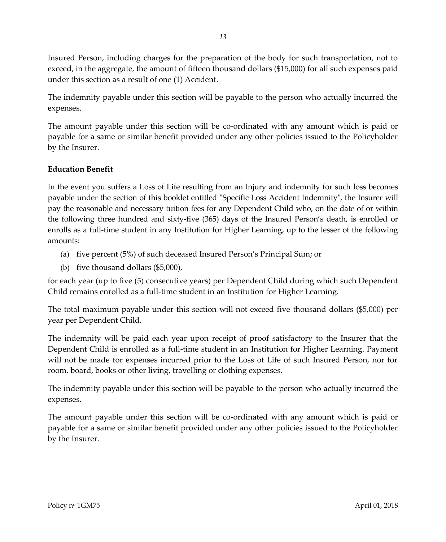Insured Person, including charges for the preparation of the body for such transportation, not to exceed, in the aggregate, the amount of fifteen thousand dollars (\$15,000) for all such expenses paid under this section as a result of one (1) Accident.

The indemnity payable under this section will be payable to the person who actually incurred the expenses.

The amount payable under this section will be co-ordinated with any amount which is paid or payable for a same or similar benefit provided under any other policies issued to the Policyholder by the Insurer.

# **Education Benefit**

In the event you suffers a Loss of Life resulting from an Injury and indemnity for such loss becomes payable under the section of this booklet entitled "Specific Loss Accident Indemnity", the Insurer will pay the reasonable and necessary tuition fees for any Dependent Child who, on the date of or within the following three hundred and sixty-five (365) days of the Insured Person's death, is enrolled or enrolls as a full-time student in any Institution for Higher Learning, up to the lesser of the following amounts:

- (a) five percent (5%) of such deceased Insured Person's Principal Sum; or
- (b) five thousand dollars (\$5,000),

for each year (up to five (5) consecutive years) per Dependent Child during which such Dependent Child remains enrolled as a full-time student in an Institution for Higher Learning.

The total maximum payable under this section will not exceed five thousand dollars (\$5,000) per year per Dependent Child.

The indemnity will be paid each year upon receipt of proof satisfactory to the Insurer that the Dependent Child is enrolled as a full-time student in an Institution for Higher Learning. Payment will not be made for expenses incurred prior to the Loss of Life of such Insured Person, nor for room, board, books or other living, travelling or clothing expenses.

The indemnity payable under this section will be payable to the person who actually incurred the expenses.

The amount payable under this section will be co-ordinated with any amount which is paid or payable for a same or similar benefit provided under any other policies issued to the Policyholder by the Insurer.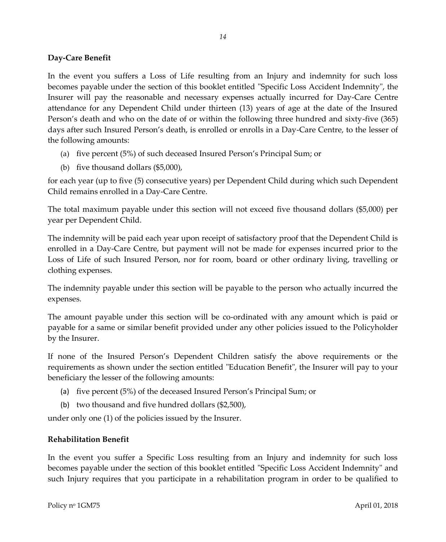# **Day-Care Benefit**

In the event you suffers a Loss of Life resulting from an Injury and indemnity for such loss becomes payable under the section of this booklet entitled "Specific Loss Accident Indemnity", the Insurer will pay the reasonable and necessary expenses actually incurred for Day-Care Centre attendance for any Dependent Child under thirteen (13) years of age at the date of the Insured Person's death and who on the date of or within the following three hundred and sixty-five (365) days after such Insured Person's death, is enrolled or enrolls in a Day-Care Centre, to the lesser of the following amounts:

*14*

- (a) five percent (5%) of such deceased Insured Person's Principal Sum; or
- (b) five thousand dollars (\$5,000),

for each year (up to five (5) consecutive years) per Dependent Child during which such Dependent Child remains enrolled in a Day-Care Centre.

The total maximum payable under this section will not exceed five thousand dollars (\$5,000) per year per Dependent Child.

The indemnity will be paid each year upon receipt of satisfactory proof that the Dependent Child is enrolled in a Day-Care Centre, but payment will not be made for expenses incurred prior to the Loss of Life of such Insured Person, nor for room, board or other ordinary living, travelling or clothing expenses.

The indemnity payable under this section will be payable to the person who actually incurred the expenses.

The amount payable under this section will be co-ordinated with any amount which is paid or payable for a same or similar benefit provided under any other policies issued to the Policyholder by the Insurer.

If none of the Insured Person's Dependent Children satisfy the above requirements or the requirements as shown under the section entitled "Education Benefit", the Insurer will pay to your beneficiary the lesser of the following amounts:

- (a) five percent (5%) of the deceased Insured Person's Principal Sum; or
- (b) two thousand and five hundred dollars (\$2,500),

under only one (1) of the policies issued by the Insurer.

# **Rehabilitation Benefit**

In the event you suffer a Specific Loss resulting from an Injury and indemnity for such loss becomes payable under the section of this booklet entitled "Specific Loss Accident Indemnity" and such Injury requires that you participate in a rehabilitation program in order to be qualified to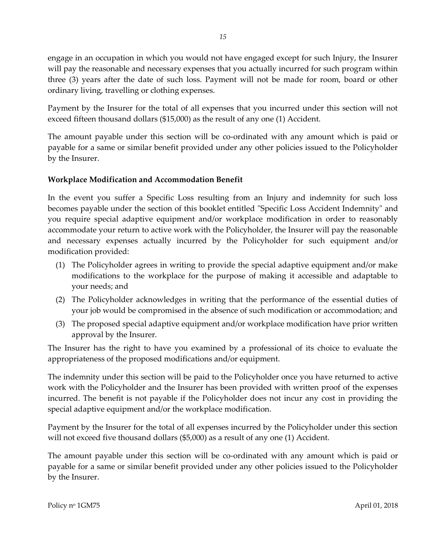engage in an occupation in which you would not have engaged except for such Injury, the Insurer will pay the reasonable and necessary expenses that you actually incurred for such program within three (3) years after the date of such loss. Payment will not be made for room, board or other ordinary living, travelling or clothing expenses.

Payment by the Insurer for the total of all expenses that you incurred under this section will not exceed fifteen thousand dollars (\$15,000) as the result of any one (1) Accident.

The amount payable under this section will be co-ordinated with any amount which is paid or payable for a same or similar benefit provided under any other policies issued to the Policyholder by the Insurer.

# **Workplace Modification and Accommodation Benefit**

In the event you suffer a Specific Loss resulting from an Injury and indemnity for such loss becomes payable under the section of this booklet entitled "Specific Loss Accident Indemnity" and you require special adaptive equipment and/or workplace modification in order to reasonably accommodate your return to active work with the Policyholder, the Insurer will pay the reasonable and necessary expenses actually incurred by the Policyholder for such equipment and/or modification provided:

- (1) The Policyholder agrees in writing to provide the special adaptive equipment and/or make modifications to the workplace for the purpose of making it accessible and adaptable to your needs; and
- (2) The Policyholder acknowledges in writing that the performance of the essential duties of your job would be compromised in the absence of such modification or accommodation; and
- (3) The proposed special adaptive equipment and/or workplace modification have prior written approval by the Insurer.

The Insurer has the right to have you examined by a professional of its choice to evaluate the appropriateness of the proposed modifications and/or equipment.

The indemnity under this section will be paid to the Policyholder once you have returned to active work with the Policyholder and the Insurer has been provided with written proof of the expenses incurred. The benefit is not payable if the Policyholder does not incur any cost in providing the special adaptive equipment and/or the workplace modification.

Payment by the Insurer for the total of all expenses incurred by the Policyholder under this section will not exceed five thousand dollars (\$5,000) as a result of any one (1) Accident.

The amount payable under this section will be co-ordinated with any amount which is paid or payable for a same or similar benefit provided under any other policies issued to the Policyholder by the Insurer.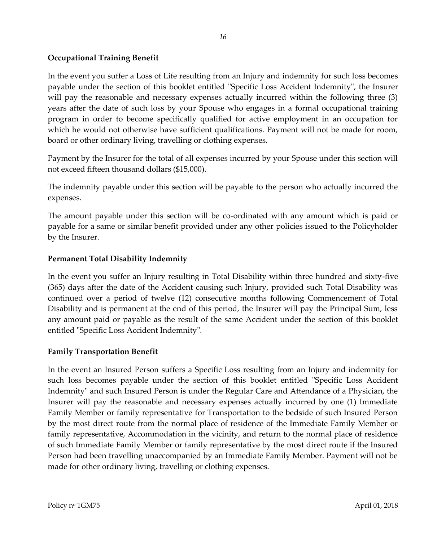# **Occupational Training Benefit**

In the event you suffer a Loss of Life resulting from an Injury and indemnity for such loss becomes payable under the section of this booklet entitled "Specific Loss Accident Indemnity", the Insurer will pay the reasonable and necessary expenses actually incurred within the following three (3) years after the date of such loss by your Spouse who engages in a formal occupational training program in order to become specifically qualified for active employment in an occupation for which he would not otherwise have sufficient qualifications. Payment will not be made for room, board or other ordinary living, travelling or clothing expenses.

Payment by the Insurer for the total of all expenses incurred by your Spouse under this section will not exceed fifteen thousand dollars (\$15,000).

The indemnity payable under this section will be payable to the person who actually incurred the expenses.

The amount payable under this section will be co-ordinated with any amount which is paid or payable for a same or similar benefit provided under any other policies issued to the Policyholder by the Insurer.

# **Permanent Total Disability Indemnity**

In the event you suffer an Injury resulting in Total Disability within three hundred and sixty-five (365) days after the date of the Accident causing such Injury, provided such Total Disability was continued over a period of twelve (12) consecutive months following Commencement of Total Disability and is permanent at the end of this period, the Insurer will pay the Principal Sum, less any amount paid or payable as the result of the same Accident under the section of this booklet entitled "Specific Loss Accident Indemnity".

# **Family Transportation Benefit**

In the event an Insured Person suffers a Specific Loss resulting from an Injury and indemnity for such loss becomes payable under the section of this booklet entitled "Specific Loss Accident Indemnity" and such Insured Person is under the Regular Care and Attendance of a Physician, the Insurer will pay the reasonable and necessary expenses actually incurred by one (1) Immediate Family Member or family representative for Transportation to the bedside of such Insured Person by the most direct route from the normal place of residence of the Immediate Family Member or family representative, Accommodation in the vicinity, and return to the normal place of residence of such Immediate Family Member or family representative by the most direct route if the Insured Person had been travelling unaccompanied by an Immediate Family Member. Payment will not be made for other ordinary living, travelling or clothing expenses.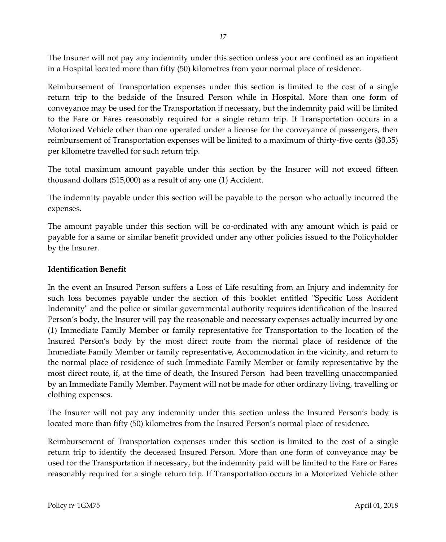The Insurer will not pay any indemnity under this section unless your are confined as an inpatient in a Hospital located more than fifty (50) kilometres from your normal place of residence.

Reimbursement of Transportation expenses under this section is limited to the cost of a single return trip to the bedside of the Insured Person while in Hospital. More than one form of conveyance may be used for the Transportation if necessary, but the indemnity paid will be limited to the Fare or Fares reasonably required for a single return trip. If Transportation occurs in a Motorized Vehicle other than one operated under a license for the conveyance of passengers, then reimbursement of Transportation expenses will be limited to a maximum of thirty-five cents (\$0.35) per kilometre travelled for such return trip.

The total maximum amount payable under this section by the Insurer will not exceed fifteen thousand dollars (\$15,000) as a result of any one (1) Accident.

The indemnity payable under this section will be payable to the person who actually incurred the expenses.

The amount payable under this section will be co-ordinated with any amount which is paid or payable for a same or similar benefit provided under any other policies issued to the Policyholder by the Insurer.

# **Identification Benefit**

In the event an Insured Person suffers a Loss of Life resulting from an Injury and indemnity for such loss becomes payable under the section of this booklet entitled "Specific Loss Accident Indemnity" and the police or similar governmental authority requires identification of the Insured Person's body, the Insurer will pay the reasonable and necessary expenses actually incurred by one (1) Immediate Family Member or family representative for Transportation to the location of the Insured Person's body by the most direct route from the normal place of residence of the Immediate Family Member or family representative, Accommodation in the vicinity, and return to the normal place of residence of such Immediate Family Member or family representative by the most direct route, if, at the time of death, the Insured Person had been travelling unaccompanied by an Immediate Family Member. Payment will not be made for other ordinary living, travelling or clothing expenses.

The Insurer will not pay any indemnity under this section unless the Insured Person's body is located more than fifty (50) kilometres from the Insured Person's normal place of residence.

Reimbursement of Transportation expenses under this section is limited to the cost of a single return trip to identify the deceased Insured Person. More than one form of conveyance may be used for the Transportation if necessary, but the indemnity paid will be limited to the Fare or Fares reasonably required for a single return trip. If Transportation occurs in a Motorized Vehicle other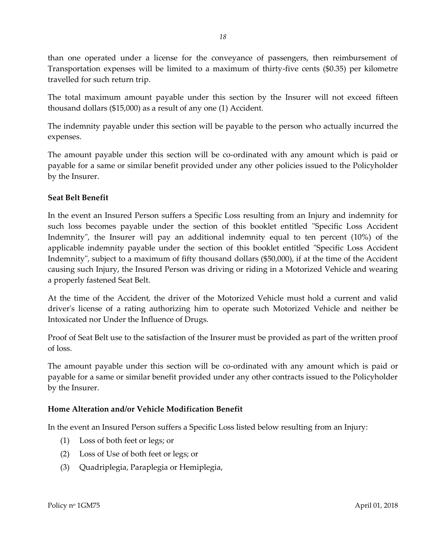than one operated under a license for the conveyance of passengers, then reimbursement of Transportation expenses will be limited to a maximum of thirty-five cents (\$0.35) per kilometre travelled for such return trip.

The total maximum amount payable under this section by the Insurer will not exceed fifteen thousand dollars (\$15,000) as a result of any one (1) Accident.

The indemnity payable under this section will be payable to the person who actually incurred the expenses.

The amount payable under this section will be co-ordinated with any amount which is paid or payable for a same or similar benefit provided under any other policies issued to the Policyholder by the Insurer.

# **Seat Belt Benefit**

In the event an Insured Person suffers a Specific Loss resulting from an Injury and indemnity for such loss becomes payable under the section of this booklet entitled "Specific Loss Accident Indemnity", the Insurer will pay an additional indemnity equal to ten percent (10%) of the applicable indemnity payable under the section of this booklet entitled "Specific Loss Accident Indemnity", subject to a maximum of fifty thousand dollars (\$50,000), if at the time of the Accident causing such Injury, the Insured Person was driving or riding in a Motorized Vehicle and wearing a properly fastened Seat Belt.

At the time of the Accident, the driver of the Motorized Vehicle must hold a current and valid driver's license of a rating authorizing him to operate such Motorized Vehicle and neither be Intoxicated nor Under the Influence of Drugs.

Proof of Seat Belt use to the satisfaction of the Insurer must be provided as part of the written proof of loss.

The amount payable under this section will be co-ordinated with any amount which is paid or payable for a same or similar benefit provided under any other contracts issued to the Policyholder by the Insurer.

# **Home Alteration and/or Vehicle Modification Benefit**

In the event an Insured Person suffers a Specific Loss listed below resulting from an Injury:

- (1) Loss of both feet or legs; or
- (2) Loss of Use of both feet or legs; or
- (3) Quadriplegia, Paraplegia or Hemiplegia,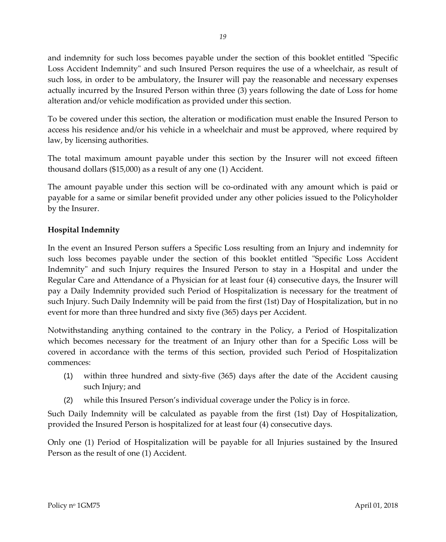and indemnity for such loss becomes payable under the section of this booklet entitled "Specific Loss Accident Indemnity" and such Insured Person requires the use of a wheelchair, as result of such loss, in order to be ambulatory, the Insurer will pay the reasonable and necessary expenses actually incurred by the Insured Person within three (3) years following the date of Loss for home alteration and/or vehicle modification as provided under this section.

To be covered under this section, the alteration or modification must enable the Insured Person to access his residence and/or his vehicle in a wheelchair and must be approved, where required by law, by licensing authorities.

The total maximum amount payable under this section by the Insurer will not exceed fifteen thousand dollars (\$15,000) as a result of any one (1) Accident.

The amount payable under this section will be co-ordinated with any amount which is paid or payable for a same or similar benefit provided under any other policies issued to the Policyholder by the Insurer.

# **Hospital Indemnity**

In the event an Insured Person suffers a Specific Loss resulting from an Injury and indemnity for such loss becomes payable under the section of this booklet entitled "Specific Loss Accident Indemnity" and such Injury requires the Insured Person to stay in a Hospital and under the Regular Care and Attendance of a Physician for at least four (4) consecutive days, the Insurer will pay a Daily Indemnity provided such Period of Hospitalization is necessary for the treatment of such Injury. Such Daily Indemnity will be paid from the first (1st) Day of Hospitalization, but in no event for more than three hundred and sixty five (365) days per Accident.

Notwithstanding anything contained to the contrary in the Policy, a Period of Hospitalization which becomes necessary for the treatment of an Injury other than for a Specific Loss will be covered in accordance with the terms of this section, provided such Period of Hospitalization commences:

- (1) within three hundred and sixty-five (365) days after the date of the Accident causing such Injury; and
- (2) while this Insured Person's individual coverage under the Policy is in force.

Such Daily Indemnity will be calculated as payable from the first (1st) Day of Hospitalization, provided the Insured Person is hospitalized for at least four (4) consecutive days.

Only one (1) Period of Hospitalization will be payable for all Injuries sustained by the Insured Person as the result of one (1) Accident.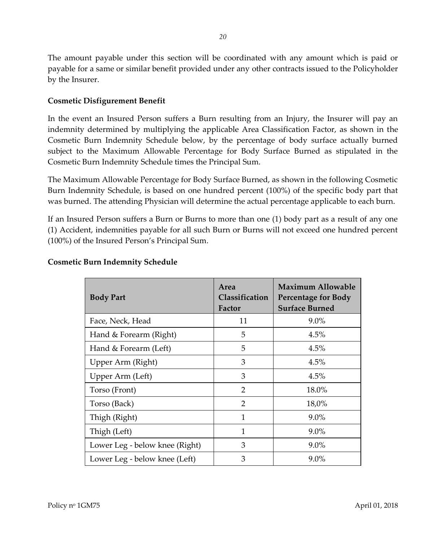The amount payable under this section will be coordinated with any amount which is paid or payable for a same or similar benefit provided under any other contracts issued to the Policyholder by the Insurer.

# **Cosmetic Disfigurement Benefit**

In the event an Insured Person suffers a Burn resulting from an Injury, the Insurer will pay an indemnity determined by multiplying the applicable Area Classification Factor, as shown in the Cosmetic Burn Indemnity Schedule below, by the percentage of body surface actually burned subject to the Maximum Allowable Percentage for Body Surface Burned as stipulated in the Cosmetic Burn Indemnity Schedule times the Principal Sum.

The Maximum Allowable Percentage for Body Surface Burned, as shown in the following Cosmetic Burn Indemnity Schedule, is based on one hundred percent (100%) of the specific body part that was burned. The attending Physician will determine the actual percentage applicable to each burn.

If an Insured Person suffers a Burn or Burns to more than one (1) body part as a result of any one (1) Accident, indemnities payable for all such Burn or Burns will not exceed one hundred percent (100%) of the Insured Person's Principal Sum.

| <b>Body Part</b>               | Area<br>Classification<br>Factor | <b>Maximum Allowable</b><br><b>Percentage for Body</b><br><b>Surface Burned</b> |
|--------------------------------|----------------------------------|---------------------------------------------------------------------------------|
| Face, Neck, Head               | 11                               | $9.0\%$                                                                         |
| Hand & Forearm (Right)         | 5                                | 4.5%                                                                            |
| Hand & Forearm (Left)          | 5                                | 4.5%                                                                            |
| Upper Arm (Right)              | 3                                | 4.5%                                                                            |
| Upper Arm (Left)               | 3                                | 4.5%                                                                            |
| Torso (Front)                  | $\mathcal{P}$                    | 18.0%                                                                           |
| Torso (Back)                   | $\overline{2}$                   | 18,0%                                                                           |
| Thigh (Right)                  | $\mathbf{1}$                     | $9.0\%$                                                                         |
| Thigh (Left)                   | 1                                | $9.0\%$                                                                         |
| Lower Leg - below knee (Right) | 3                                | $9.0\%$                                                                         |
| Lower Leg - below knee (Left)  | 3                                | $9.0\%$                                                                         |

# **Cosmetic Burn Indemnity Schedule**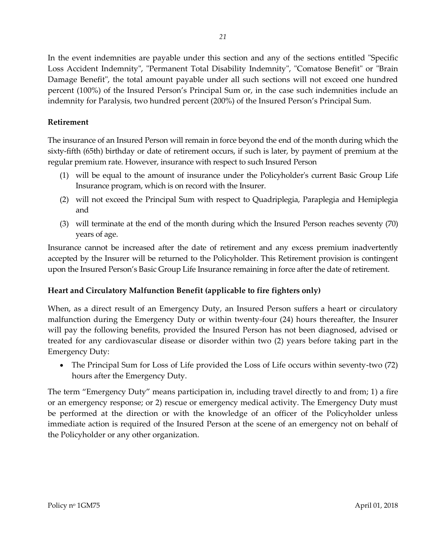In the event indemnities are payable under this section and any of the sections entitled "Specific Loss Accident Indemnity", "Permanent Total Disability Indemnity", "Comatose Benefit" or "Brain Damage Benefit", the total amount payable under all such sections will not exceed one hundred percent (100%) of the Insured Person's Principal Sum or, in the case such indemnities include an indemnity for Paralysis, two hundred percent (200%) of the Insured Person's Principal Sum.

# **Retirement**

The insurance of an Insured Person will remain in force beyond the end of the month during which the sixty-fifth (65th) birthday or date of retirement occurs, if such is later, by payment of premium at the regular premium rate. However, insurance with respect to such Insured Person

- (1) will be equal to the amount of insurance under the Policyholder's current Basic Group Life Insurance program, which is on record with the Insurer.
- (2) will not exceed the Principal Sum with respect to Quadriplegia, Paraplegia and Hemiplegia and
- (3) will terminate at the end of the month during which the Insured Person reaches seventy (70) years of age.

Insurance cannot be increased after the date of retirement and any excess premium inadvertently accepted by the Insurer will be returned to the Policyholder. This Retirement provision is contingent upon the Insured Person's Basic Group Life Insurance remaining in force after the date of retirement.

# **Heart and Circulatory Malfunction Benefit (applicable to fire fighters only)**

When, as a direct result of an Emergency Duty, an Insured Person suffers a heart or circulatory malfunction during the Emergency Duty or within twenty-four (24) hours thereafter, the Insurer will pay the following benefits, provided the Insured Person has not been diagnosed, advised or treated for any cardiovascular disease or disorder within two (2) years before taking part in the Emergency Duty:

 The Principal Sum for Loss of Life provided the Loss of Life occurs within seventy-two (72) hours after the Emergency Duty.

The term "Emergency Duty" means participation in, including travel directly to and from; 1) a fire or an emergency response; or 2) rescue or emergency medical activity. The Emergency Duty must be performed at the direction or with the knowledge of an officer of the Policyholder unless immediate action is required of the Insured Person at the scene of an emergency not on behalf of the Policyholder or any other organization.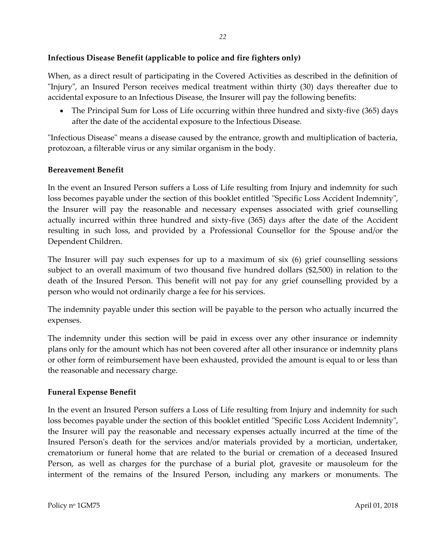# **Infectious Disease Benefit (applicable to police and fire fighters only)**

When, as a direct result of participating in the Covered Activities as described in the definition of "Injury", an Insured Person receives medical treatment within thirty (30) days thereafter due to accidental exposure to an Infectious Disease, the Insurer will pay the following benefits:

 The Principal Sum for Loss of Life occurring within three hundred and sixty-five (365) days after the date of the accidental exposure to the Infectious Disease.

"Infectious Disease" means a disease caused by the entrance, growth and multiplication of bacteria, protozoan, a filterable virus or any similar organism in the body.

# **Bereavement Benefit**

In the event an Insured Person suffers a Loss of Life resulting from Injury and indemnity for such loss becomes payable under the section of this booklet entitled "Specific Loss Accident Indemnity", the Insurer will pay the reasonable and necessary expenses associated with grief counselling actually incurred within three hundred and sixty-five (365) days after the date of the Accident resulting in such loss, and provided by a Professional Counsellor for the Spouse and/or the Dependent Children.

The Insurer will pay such expenses for up to a maximum of six (6) grief counselling sessions subject to an overall maximum of two thousand five hundred dollars (\$2,500) in relation to the death of the Insured Person. This benefit will not pay for any grief counselling provided by a person who would not ordinarily charge a fee for his services.

The indemnity payable under this section will be payable to the person who actually incurred the expenses.

The indemnity under this section will be paid in excess over any other insurance or indemnity plans only for the amount which has not been covered after all other insurance or indemnity plans or other form of reimbursement have been exhausted, provided the amount is equal to or less than the reasonable and necessary charge*.*

#### **Funeral Expense Benefit**

In the event an Insured Person suffers a Loss of Life resulting from Injury and indemnity for such loss becomes payable under the section of this booklet entitled "Specific Loss Accident Indemnity", the Insurer will pay the reasonable and necessary expenses actually incurred at the time of the Insured Person's death for the services and/or materials provided by a mortician, undertaker, crematorium or funeral home that are related to the burial or cremation of a deceased Insured Person, as well as charges for the purchase of a burial plot, gravesite or mausoleum for the interment of the remains of the Insured Person, including any markers or monuments. The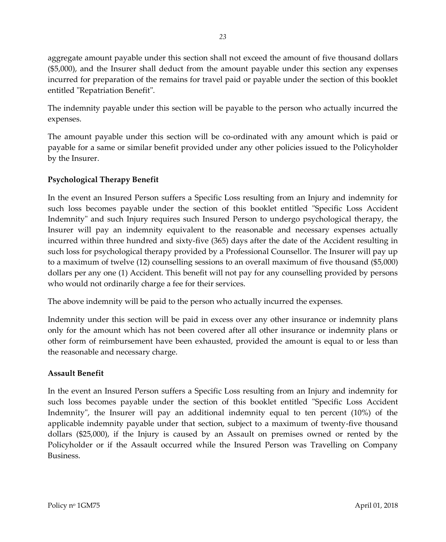aggregate amount payable under this section shall not exceed the amount of five thousand dollars (\$5,000), and the Insurer shall deduct from the amount payable under this section any expenses incurred for preparation of the remains for travel paid or payable under the section of this booklet entitled "Repatriation Benefit".

The indemnity payable under this section will be payable to the person who actually incurred the expenses.

The amount payable under this section will be co-ordinated with any amount which is paid or payable for a same or similar benefit provided under any other policies issued to the Policyholder by the Insurer.

# **Psychological Therapy Benefit**

In the event an Insured Person suffers a Specific Loss resulting from an Injury and indemnity for such loss becomes payable under the section of this booklet entitled "Specific Loss Accident Indemnity" and such Injury requires such Insured Person to undergo psychological therapy, the Insurer will pay an indemnity equivalent to the reasonable and necessary expenses actually incurred within three hundred and sixty-five (365) days after the date of the Accident resulting in such loss for psychological therapy provided by a Professional Counsellor. The Insurer will pay up to a maximum of twelve (12) counselling sessions to an overall maximum of five thousand (\$5,000) dollars per any one (1) Accident. This benefit will not pay for any counselling provided by persons who would not ordinarily charge a fee for their services.

The above indemnity will be paid to the person who actually incurred the expenses.

Indemnity under this section will be paid in excess over any other insurance or indemnity plans only for the amount which has not been covered after all other insurance or indemnity plans or other form of reimbursement have been exhausted, provided the amount is equal to or less than the reasonable and necessary charge.

# **Assault Benefit**

In the event an Insured Person suffers a Specific Loss resulting from an Injury and indemnity for such loss becomes payable under the section of this booklet entitled "Specific Loss Accident Indemnity", the Insurer will pay an additional indemnity equal to ten percent (10%) of the applicable indemnity payable under that section, subject to a maximum of twenty-five thousand dollars (\$25,000), if the Injury is caused by an Assault on premises owned or rented by the Policyholder or if the Assault occurred while the Insured Person was Travelling on Company Business.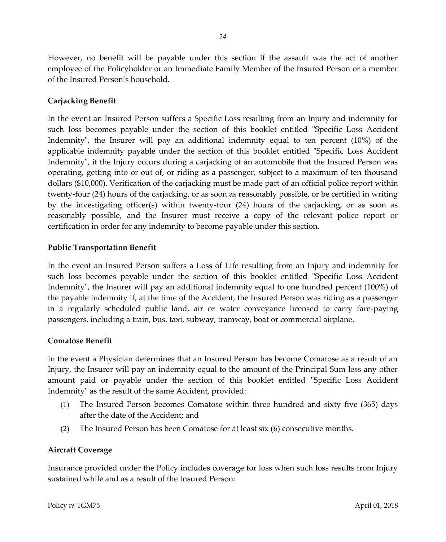However, no benefit will be payable under this section if the assault was the act of another employee of the Policyholder or an Immediate Family Member of the Insured Person or a member of the Insured Person's household.

# **Carjacking Benefit**

In the event an Insured Person suffers a Specific Loss resulting from an Injury and indemnity for such loss becomes payable under the section of this booklet entitled "Specific Loss Accident Indemnity", the Insurer will pay an additional indemnity equal to ten percent (10%) of the applicable indemnity payable under the section of this booklet entitled "Specific Loss Accident Indemnity", if the Injury occurs during a carjacking of an automobile that the Insured Person was operating, getting into or out of, or riding as a passenger, subject to a maximum of ten thousand dollars (\$10,000). Verification of the carjacking must be made part of an official police report within twenty-four (24) hours of the carjacking, or as soon as reasonably possible, or be certified in writing by the investigating officer(s) within twenty-four (24) hours of the carjacking, or as soon as reasonably possible, and the Insurer must receive a copy of the relevant police report or certification in order for any indemnity to become payable under this section.

# **Public Transportation Benefit**

In the event an Insured Person suffers a Loss of Life resulting from an Injury and indemnity for such loss becomes payable under the section of this booklet entitled "Specific Loss Accident Indemnity", the Insurer will pay an additional indemnity equal to one hundred percent (100%) of the payable indemnity if, at the time of the Accident, the Insured Person was riding as a passenger in a regularly scheduled public land, air or water conveyance licensed to carry fare-paying passengers, including a train, bus, taxi, subway, tramway, boat or commercial airplane.

#### **Comatose Benefit**

In the event a Physician determines that an Insured Person has become Comatose as a result of an Injury, the Insurer will pay an indemnity equal to the amount of the Principal Sum less any other amount paid or payable under the section of this booklet entitled "Specific Loss Accident Indemnity" as the result of the same Accident, provided:

- (1) The Insured Person becomes Comatose within three hundred and sixty five (365) days after the date of the Accident; and
- (2) The Insured Person has been Comatose for at least six (6) consecutive months.

# **Aircraft Coverage**

Insurance provided under the Policy includes coverage for loss when such loss results from Injury sustained while and as a result of the Insured Person: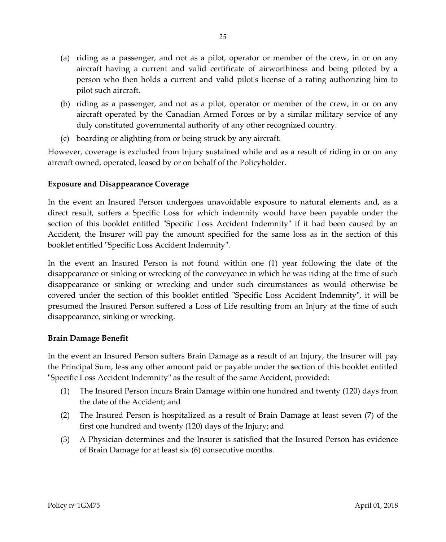- (a) riding as a passenger, and not as a pilot, operator or member of the crew, in or on any aircraft having a current and valid certificate of airworthiness and being piloted by a person who then holds a current and valid pilot's license of a rating authorizing him to pilot such aircraft.
- (b) riding as a passenger, and not as a pilot, operator or member of the crew, in or on any aircraft operated by the Canadian Armed Forces or by a similar military service of any duly constituted governmental authority of any other recognized country.
- (c) boarding or alighting from or being struck by any aircraft.

However, coverage is excluded from Injury sustained while and as a result of riding in or on any aircraft owned, operated, leased by or on behalf of the Policyholder.

# **Exposure and Disappearance Coverage**

In the event an Insured Person undergoes unavoidable exposure to natural elements and, as a direct result, suffers a Specific Loss for which indemnity would have been payable under the section of this booklet entitled "Specific Loss Accident Indemnity" if it had been caused by an Accident, the Insurer will pay the amount specified for the same loss as in the section of this booklet entitled "Specific Loss Accident Indemnity".

In the event an Insured Person is not found within one (1) year following the date of the disappearance or sinking or wrecking of the conveyance in which he was riding at the time of such disappearance or sinking or wrecking and under such circumstances as would otherwise be covered under the section of this booklet entitled "Specific Loss Accident Indemnity", it will be presumed the Insured Person suffered a Loss of Life resulting from an Injury at the time of such disappearance, sinking or wrecking.

# **Brain Damage Benefit**

In the event an Insured Person suffers Brain Damage as a result of an Injury, the Insurer will pay the Principal Sum, less any other amount paid or payable under the section of this booklet entitled "Specific Loss Accident Indemnity" as the result of the same Accident, provided:

- (1) The Insured Person incurs Brain Damage within one hundred and twenty (120) days from the date of the Accident; and
- (2) The Insured Person is hospitalized as a result of Brain Damage at least seven (7) of the first one hundred and twenty (120) days of the Injury; and
- (3) A Physician determines and the Insurer is satisfied that the Insured Person has evidence of Brain Damage for at least six (6) consecutive months.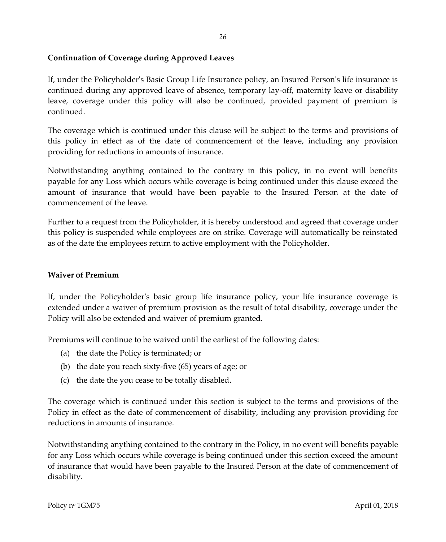# <span id="page-28-0"></span>**Continuation of Coverage during Approved Leaves**

If, under the Policyholder's Basic Group Life Insurance policy, an Insured Person's life insurance is continued during any approved leave of absence, temporary lay-off, maternity leave or disability leave, coverage under this policy will also be continued, provided payment of premium is continued.

The coverage which is continued under this clause will be subject to the terms and provisions of this policy in effect as of the date of commencement of the leave, including any provision providing for reductions in amounts of insurance.

Notwithstanding anything contained to the contrary in this policy, in no event will benefits payable for any Loss which occurs while coverage is being continued under this clause exceed the amount of insurance that would have been payable to the Insured Person at the date of commencement of the leave.

Further to a request from the Policyholder, it is hereby understood and agreed that coverage under this policy is suspended while employees are on strike. Coverage will automatically be reinstated as of the date the employees return to active employment with the Policyholder.

# <span id="page-28-1"></span>**Waiver of Premium**

If, under the Policyholder's basic group life insurance policy, your life insurance coverage is extended under a waiver of premium provision as the result of total disability, coverage under the Policy will also be extended and waiver of premium granted.

Premiums will continue to be waived until the earliest of the following dates:

- (a) the date the Policy is terminated; or
- (b) the date you reach sixty-five (65) years of age; or
- (c) the date the you cease to be totally disabled.

The coverage which is continued under this section is subject to the terms and provisions of the Policy in effect as the date of commencement of disability, including any provision providing for reductions in amounts of insurance.

Notwithstanding anything contained to the contrary in the Policy, in no event will benefits payable for any Loss which occurs while coverage is being continued under this section exceed the amount of insurance that would have been payable to the Insured Person at the date of commencement of disability.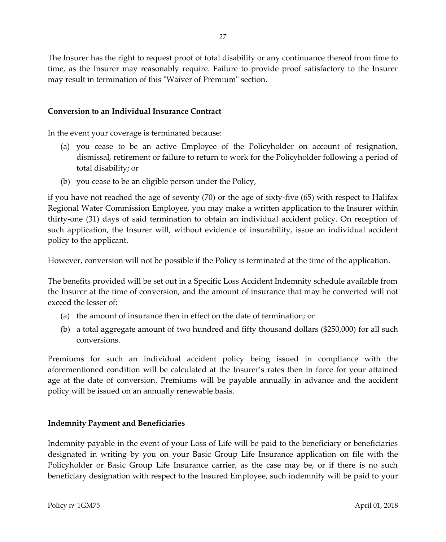The Insurer has the right to request proof of total disability or any continuance thereof from time to time, as the Insurer may reasonably require. Failure to provide proof satisfactory to the Insurer may result in termination of this "Waiver of Premium" section.

# <span id="page-29-0"></span>**Conversion to an Individual Insurance Contract**

In the event your coverage is terminated because:

- (a) you cease to be an active Employee of the Policyholder on account of resignation, dismissal, retirement or failure to return to work for the Policyholder following a period of total disability; or
- (b) you cease to be an eligible person under the Policy,

if you have not reached the age of seventy (70) or the age of sixty-five (65) with respect to Halifax Regional Water Commission Employee, you may make a written application to the Insurer within thirty-one (31) days of said termination to obtain an individual accident policy. On reception of such application, the Insurer will, without evidence of insurability, issue an individual accident policy to the applicant.

However, conversion will not be possible if the Policy is terminated at the time of the application.

The benefits provided will be set out in a Specific Loss Accident Indemnity schedule available from the Insurer at the time of conversion, and the amount of insurance that may be converted will not exceed the lesser of:

- (a) the amount of insurance then in effect on the date of termination; or
- (b) a total aggregate amount of two hundred and fifty thousand dollars (\$250,000) for all such conversions.

Premiums for such an individual accident policy being issued in compliance with the aforementioned condition will be calculated at the Insurer's rates then in force for your attained age at the date of conversion. Premiums will be payable annually in advance and the accident policy will be issued on an annually renewable basis.

#### <span id="page-29-1"></span>**Indemnity Payment and Beneficiaries**

Indemnity payable in the event of your Loss of Life will be paid to the beneficiary or beneficiaries designated in writing by you on your Basic Group Life Insurance application on file with the Policyholder or Basic Group Life Insurance carrier, as the case may be, or if there is no such beneficiary designation with respect to the Insured Employee, such indemnity will be paid to your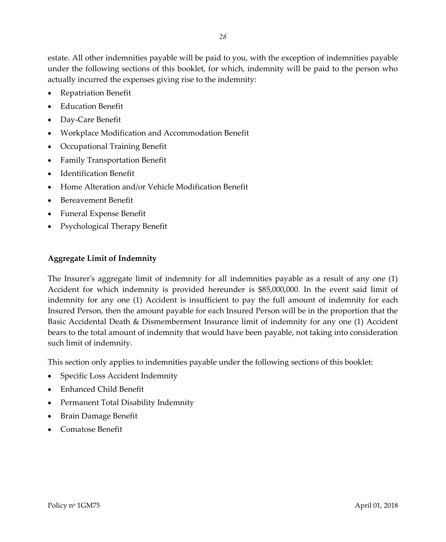estate. All other indemnities payable will be paid to you, with the exception of indemnities payable under the following sections of this booklet, for which, indemnity will be paid to the person who actually incurred the expenses giving rise to the indemnity:

- Repatriation Benefit
- Education Benefit
- Day-Care Benefit
- Workplace Modification and Accommodation Benefit
- Occupational Training Benefit
- Family Transportation Benefit
- Identification Benefit
- Home Alteration and/or Vehicle Modification Benefit
- Bereavement Benefit
- Funeral Expense Benefit
- Psychological Therapy Benefit

# <span id="page-30-0"></span>**Aggregate Limit of Indemnity**

The Insurer's aggregate limit of indemnity for all indemnities payable as a result of any one (1) Accident for which indemnity is provided hereunder is \$85,000,000. In the event said limit of indemnity for any one (1) Accident is insufficient to pay the full amount of indemnity for each Insured Person, then the amount payable for each Insured Person will be in the proportion that the Basic Accidental Death & Dismemberment Insurance limit of indemnity for any one (1) Accident bears to the total amount of indemnity that would have been payable, not taking into consideration such limit of indemnity.

This section only applies to indemnities payable under the following sections of this booklet:

- Specific Loss Accident Indemnity
- Enhanced Child Benefit
- Permanent Total Disability Indemnity
- Brain Damage Benefit
- Comatose Benefit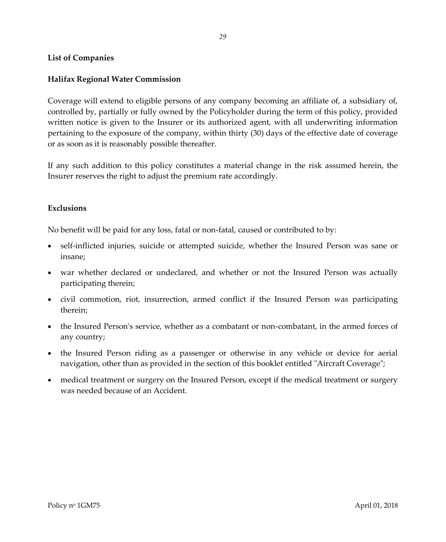# <span id="page-31-0"></span>**List of Companies**

# **Halifax Regional Water Commission**

Coverage will extend to eligible persons of any company becoming an affiliate of, a subsidiary of, controlled by, partially or fully owned by the Policyholder during the term of this policy, provided written notice is given to the Insurer or its authorized agent, with all underwriting information pertaining to the exposure of the company, within thirty (30) days of the effective date of coverage or as soon as it is reasonably possible thereafter.

<span id="page-31-1"></span>If any such addition to this policy constitutes a material change in the risk assumed herein, the Insurer reserves the right to adjust the premium rate accordingly.

#### **Exclusions**

No benefit will be paid for any loss, fatal or non-fatal, caused or contributed to by:

- self-inflicted injuries, suicide or attempted suicide, whether the Insured Person was sane or insane;
- war whether declared or undeclared, and whether or not the Insured Person was actually participating therein;
- civil commotion, riot, insurrection, armed conflict if the Insured Person was participating therein;
- the Insured Person's service, whether as a combatant or non-combatant, in the armed forces of any country;
- the Insured Person riding as a passenger or otherwise in any vehicle or device for aerial navigation, other than as provided in the section of this booklet entitled "Aircraft Coverage";
- medical treatment or surgery on the Insured Person, except if the medical treatment or surgery was needed because of an Accident.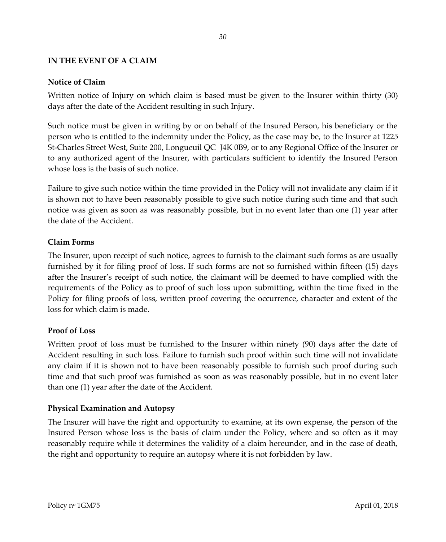#### <span id="page-32-1"></span><span id="page-32-0"></span>**IN THE EVENT OF A CLAIM**

# **Notice of Claim**

Written notice of Injury on which claim is based must be given to the Insurer within thirty (30) days after the date of the Accident resulting in such Injury.

Such notice must be given in writing by or on behalf of the Insured Person, his beneficiary or the person who is entitled to the indemnity under the Policy, as the case may be, to the Insurer at 1225 St-Charles Street West, Suite 200, Longueuil QC J4K 0B9, or to any Regional Office of the Insurer or to any authorized agent of the Insurer, with particulars sufficient to identify the Insured Person whose loss is the basis of such notice.

Failure to give such notice within the time provided in the Policy will not invalidate any claim if it is shown not to have been reasonably possible to give such notice during such time and that such notice was given as soon as was reasonably possible, but in no event later than one (1) year after the date of the Accident.

# <span id="page-32-2"></span>**Claim Forms**

The Insurer, upon receipt of such notice, agrees to furnish to the claimant such forms as are usually furnished by it for filing proof of loss. If such forms are not so furnished within fifteen (15) days after the Insurer's receipt of such notice, the claimant will be deemed to have complied with the requirements of the Policy as to proof of such loss upon submitting, within the time fixed in the Policy for filing proofs of loss, written proof covering the occurrence, character and extent of the loss for which claim is made.

# <span id="page-32-3"></span>**Proof of Loss**

Written proof of loss must be furnished to the Insurer within ninety (90) days after the date of Accident resulting in such loss. Failure to furnish such proof within such time will not invalidate any claim if it is shown not to have been reasonably possible to furnish such proof during such time and that such proof was furnished as soon as was reasonably possible, but in no event later than one (1) year after the date of the Accident.

# <span id="page-32-4"></span>**Physical Examination and Autopsy**

The Insurer will have the right and opportunity to examine, at its own expense, the person of the Insured Person whose loss is the basis of claim under the Policy, where and so often as it may reasonably require while it determines the validity of a claim hereunder, and in the case of death, the right and opportunity to require an autopsy where it is not forbidden by law.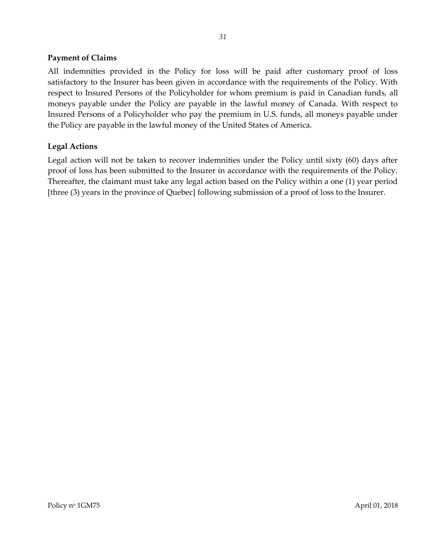# <span id="page-33-0"></span>**Payment of Claims**

All indemnities provided in the Policy for loss will be paid after customary proof of loss satisfactory to the Insurer has been given in accordance with the requirements of the Policy. With respect to Insured Persons of the Policyholder for whom premium is paid in Canadian funds, all moneys payable under the Policy are payable in the lawful money of Canada. With respect to Insured Persons of a Policyholder who pay the premium in U.S. funds, all moneys payable under the Policy are payable in the lawful money of the United States of America.

# <span id="page-33-1"></span>**Legal Actions**

Legal action will not be taken to recover indemnities under the Policy until sixty (60) days after proof of loss has been submitted to the Insurer in accordance with the requirements of the Policy. Thereafter, the claimant must take any legal action based on the Policy within a one (1) year period [three (3) years in the province of Quebec] following submission of a proof of loss to the Insurer.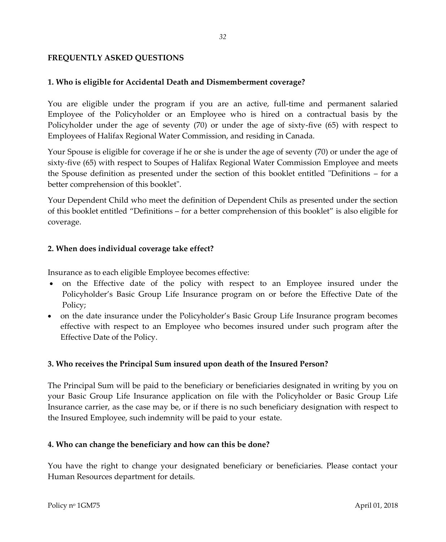# <span id="page-34-0"></span>**FREQUENTLY ASKED QUESTIONS**

#### **1. Who is eligible for Accidental Death and Dismemberment coverage?**

You are eligible under the program if you are an active, full-time and permanent salaried Employee of the Policyholder or an Employee who is hired on a contractual basis by the Policyholder under the age of seventy (70) or under the age of sixty-five (65) with respect to Employees of Halifax Regional Water Commission, and residing in Canada.

Your Spouse is eligible for coverage if he or she is under the age of seventy (70) or under the age of sixty-five (65) with respect to Soupes of Halifax Regional Water Commission Employee and meets the Spouse definition as presented under the section of this booklet entitled "Definitions – for a better comprehension of this booklet".

Your Dependent Child who meet the definition of Dependent Chils as presented under the section of this booklet entitled "Definitions – for a better comprehension of this booklet" is also eligible for coverage.

# **2. When does individual coverage take effect?**

Insurance as to each eligible Employee becomes effective:

- on the Effective date of the policy with respect to an Employee insured under the Policyholder's Basic Group Life Insurance program on or before the Effective Date of the Policy;
- on the date insurance under the Policyholder's Basic Group Life Insurance program becomes effective with respect to an Employee who becomes insured under such program after the Effective Date of the Policy.

# **3. Who receives the Principal Sum insured upon death of the Insured Person?**

The Principal Sum will be paid to the beneficiary or beneficiaries designated in writing by you on your Basic Group Life Insurance application on file with the Policyholder or Basic Group Life Insurance carrier, as the case may be, or if there is no such beneficiary designation with respect to the Insured Employee, such indemnity will be paid to your estate.

#### **4. Who can change the beneficiary and how can this be done?**

You have the right to change your designated beneficiary or beneficiaries. Please contact your Human Resources department for details.